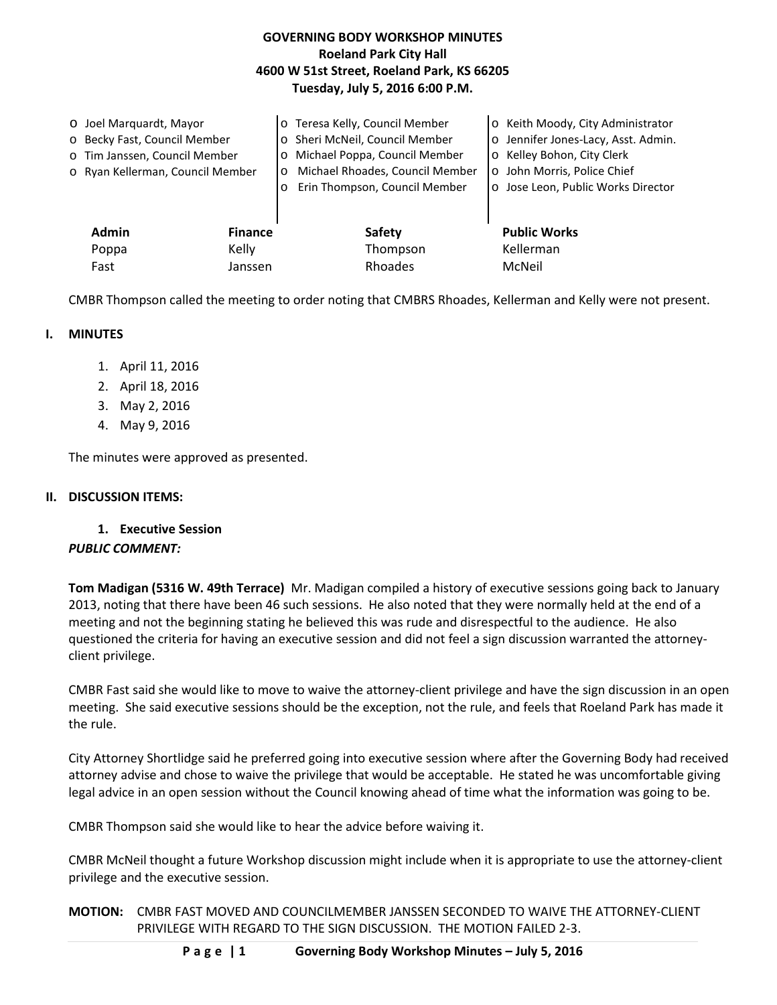## **GOVERNING BODY WORKSHOP MINUTES Roeland Park City Hall 4600 W 51st Street, Roeland Park, KS 66205 Tuesday, July 5, 2016 6:00 P.M.**

| O Joel Marquardt, Mayor<br>o Becky Fast, Council Member<br>o Tim Janssen, Council Member<br>o Ryan Kellerman, Council Member |                         | o Teresa Kelly, Council Member<br>o Sheri McNeil, Council Member<br>o Michael Poppa, Council Member<br>Michael Rhoades, Council Member<br>O<br>Erin Thompson, Council Member<br>$\circ$ | o Keith Moody, City Administrator<br>o Jennifer Jones-Lacy, Asst. Admin.<br>Kelley Bohon, City Clerk<br>$\circ$<br>o John Morris, Police Chief<br>o Jose Leon, Public Works Director |
|------------------------------------------------------------------------------------------------------------------------------|-------------------------|-----------------------------------------------------------------------------------------------------------------------------------------------------------------------------------------|--------------------------------------------------------------------------------------------------------------------------------------------------------------------------------------|
| <b>Admin</b><br>Poppa                                                                                                        | <b>Finance</b><br>Kelly | Safety<br>Thompson                                                                                                                                                                      | <b>Public Works</b><br>Kellerman                                                                                                                                                     |
| Fast                                                                                                                         | Janssen                 | Rhoades                                                                                                                                                                                 | McNeil                                                                                                                                                                               |

CMBR Thompson called the meeting to order noting that CMBRS Rhoades, Kellerman and Kelly were not present.

#### **I. MINUTES**

- 1. April 11, 2016
- 2. April 18, 2016
- 3. May 2, 2016
- 4. May 9, 2016

The minutes were approved as presented.

#### **II. DISCUSSION ITEMS:**

**1. Executive Session**

## *PUBLIC COMMENT:*

**Tom Madigan (5316 W. 49th Terrace)** Mr. Madigan compiled a history of executive sessions going back to January 2013, noting that there have been 46 such sessions. He also noted that they were normally held at the end of a meeting and not the beginning stating he believed this was rude and disrespectful to the audience. He also questioned the criteria for having an executive session and did not feel a sign discussion warranted the attorneyclient privilege.

CMBR Fast said she would like to move to waive the attorney-client privilege and have the sign discussion in an open meeting. She said executive sessions should be the exception, not the rule, and feels that Roeland Park has made it the rule.

City Attorney Shortlidge said he preferred going into executive session where after the Governing Body had received attorney advise and chose to waive the privilege that would be acceptable. He stated he was uncomfortable giving legal advice in an open session without the Council knowing ahead of time what the information was going to be.

CMBR Thompson said she would like to hear the advice before waiving it.

CMBR McNeil thought a future Workshop discussion might include when it is appropriate to use the attorney-client privilege and the executive session.

**MOTION:** CMBR FAST MOVED AND COUNCILMEMBER JANSSEN SECONDED TO WAIVE THE ATTORNEY-CLIENT PRIVILEGE WITH REGARD TO THE SIGN DISCUSSION. THE MOTION FAILED 2-3.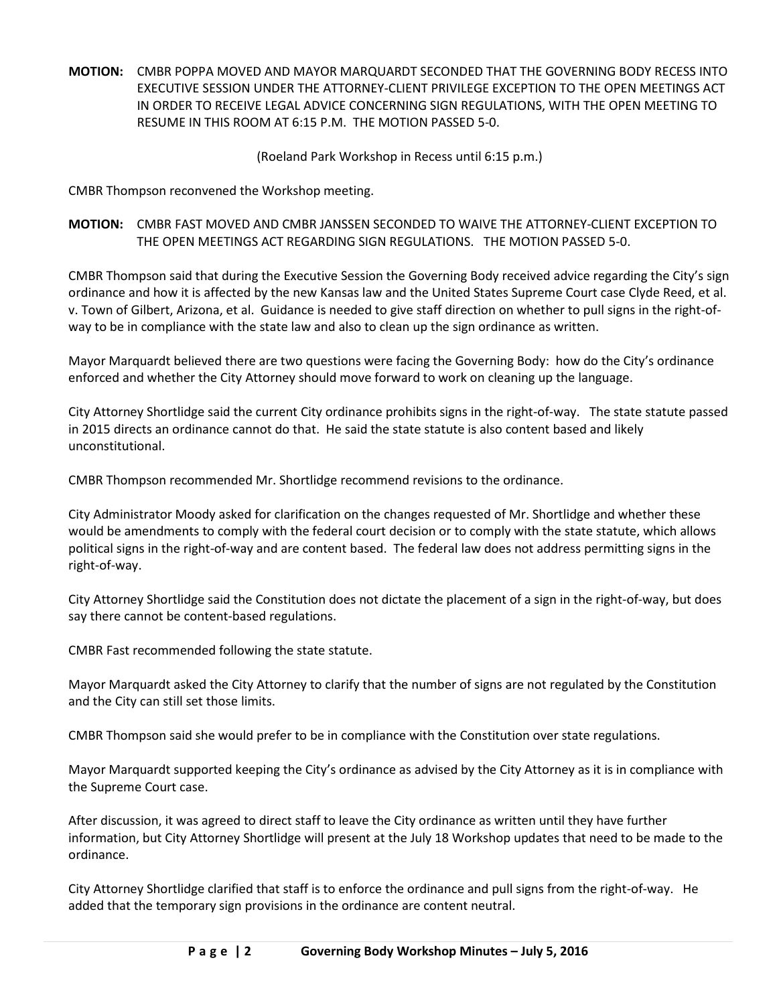**MOTION:** CMBR POPPA MOVED AND MAYOR MARQUARDT SECONDED THAT THE GOVERNING BODY RECESS INTO EXECUTIVE SESSION UNDER THE ATTORNEY-CLIENT PRIVILEGE EXCEPTION TO THE OPEN MEETINGS ACT IN ORDER TO RECEIVE LEGAL ADVICE CONCERNING SIGN REGULATIONS, WITH THE OPEN MEETING TO RESUME IN THIS ROOM AT 6:15 P.M. THE MOTION PASSED 5-0.

## (Roeland Park Workshop in Recess until 6:15 p.m.)

CMBR Thompson reconvened the Workshop meeting.

**MOTION:** CMBR FAST MOVED AND CMBR JANSSEN SECONDED TO WAIVE THE ATTORNEY-CLIENT EXCEPTION TO THE OPEN MEETINGS ACT REGARDING SIGN REGULATIONS. THE MOTION PASSED 5-0.

CMBR Thompson said that during the Executive Session the Governing Body received advice regarding the City's sign ordinance and how it is affected by the new Kansas law and the United States Supreme Court case Clyde Reed, et al. v. Town of Gilbert, Arizona, et al. Guidance is needed to give staff direction on whether to pull signs in the right-ofway to be in compliance with the state law and also to clean up the sign ordinance as written.

Mayor Marquardt believed there are two questions were facing the Governing Body: how do the City's ordinance enforced and whether the City Attorney should move forward to work on cleaning up the language.

City Attorney Shortlidge said the current City ordinance prohibits signs in the right-of-way. The state statute passed in 2015 directs an ordinance cannot do that. He said the state statute is also content based and likely unconstitutional.

CMBR Thompson recommended Mr. Shortlidge recommend revisions to the ordinance.

City Administrator Moody asked for clarification on the changes requested of Mr. Shortlidge and whether these would be amendments to comply with the federal court decision or to comply with the state statute, which allows political signs in the right-of-way and are content based. The federal law does not address permitting signs in the right-of-way.

City Attorney Shortlidge said the Constitution does not dictate the placement of a sign in the right-of-way, but does say there cannot be content-based regulations.

CMBR Fast recommended following the state statute.

Mayor Marquardt asked the City Attorney to clarify that the number of signs are not regulated by the Constitution and the City can still set those limits.

CMBR Thompson said she would prefer to be in compliance with the Constitution over state regulations.

Mayor Marquardt supported keeping the City's ordinance as advised by the City Attorney as it is in compliance with the Supreme Court case.

After discussion, it was agreed to direct staff to leave the City ordinance as written until they have further information, but City Attorney Shortlidge will present at the July 18 Workshop updates that need to be made to the ordinance.

City Attorney Shortlidge clarified that staff is to enforce the ordinance and pull signs from the right-of-way. He added that the temporary sign provisions in the ordinance are content neutral.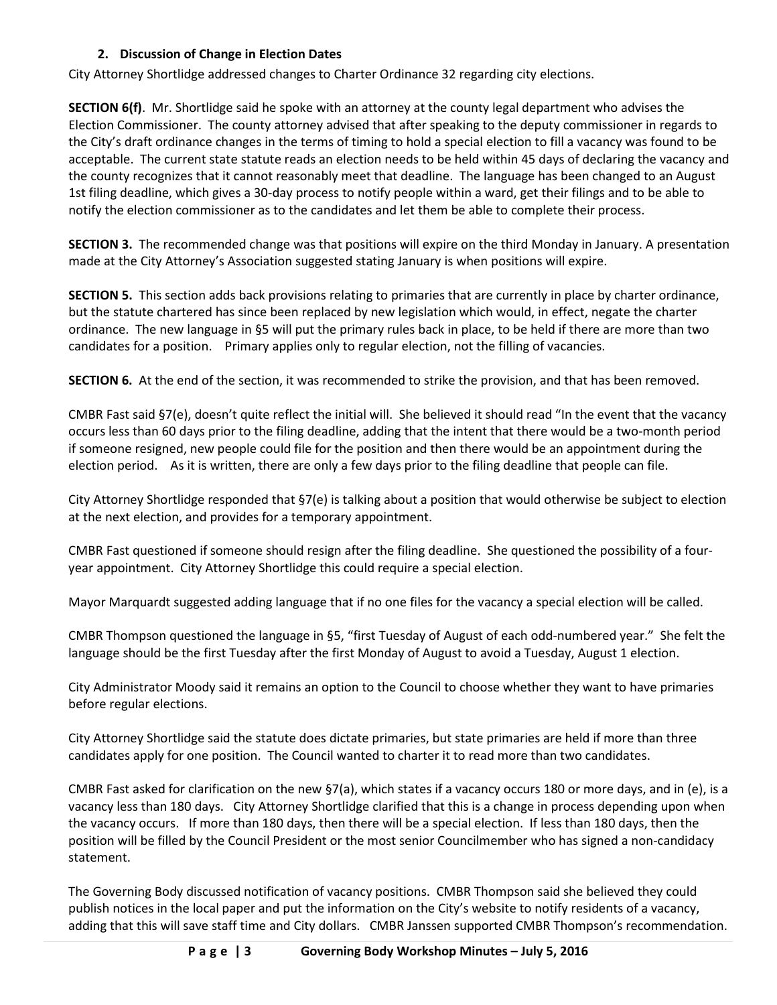# **2. Discussion of Change in Election Dates**

City Attorney Shortlidge addressed changes to Charter Ordinance 32 regarding city elections.

**SECTION 6(f)**. Mr. Shortlidge said he spoke with an attorney at the county legal department who advises the Election Commissioner. The county attorney advised that after speaking to the deputy commissioner in regards to the City's draft ordinance changes in the terms of timing to hold a special election to fill a vacancy was found to be acceptable. The current state statute reads an election needs to be held within 45 days of declaring the vacancy and the county recognizes that it cannot reasonably meet that deadline. The language has been changed to an August 1st filing deadline, which gives a 30-day process to notify people within a ward, get their filings and to be able to notify the election commissioner as to the candidates and let them be able to complete their process.

**SECTION 3.** The recommended change was that positions will expire on the third Monday in January. A presentation made at the City Attorney's Association suggested stating January is when positions will expire.

**SECTION 5.** This section adds back provisions relating to primaries that are currently in place by charter ordinance, but the statute chartered has since been replaced by new legislation which would, in effect, negate the charter ordinance. The new language in §5 will put the primary rules back in place, to be held if there are more than two candidates for a position. Primary applies only to regular election, not the filling of vacancies.

**SECTION 6.** At the end of the section, it was recommended to strike the provision, and that has been removed.

CMBR Fast said §7(e), doesn't quite reflect the initial will. She believed it should read "In the event that the vacancy occurs less than 60 days prior to the filing deadline, adding that the intent that there would be a two-month period if someone resigned, new people could file for the position and then there would be an appointment during the election period. As it is written, there are only a few days prior to the filing deadline that people can file.

City Attorney Shortlidge responded that §7(e) is talking about a position that would otherwise be subject to election at the next election, and provides for a temporary appointment.

CMBR Fast questioned if someone should resign after the filing deadline. She questioned the possibility of a fouryear appointment. City Attorney Shortlidge this could require a special election.

Mayor Marquardt suggested adding language that if no one files for the vacancy a special election will be called.

CMBR Thompson questioned the language in §5, "first Tuesday of August of each odd-numbered year." She felt the language should be the first Tuesday after the first Monday of August to avoid a Tuesday, August 1 election.

City Administrator Moody said it remains an option to the Council to choose whether they want to have primaries before regular elections.

City Attorney Shortlidge said the statute does dictate primaries, but state primaries are held if more than three candidates apply for one position. The Council wanted to charter it to read more than two candidates.

CMBR Fast asked for clarification on the new §7(a), which states if a vacancy occurs 180 or more days, and in (e), is a vacancy less than 180 days. City Attorney Shortlidge clarified that this is a change in process depending upon when the vacancy occurs. If more than 180 days, then there will be a special election. If less than 180 days, then the position will be filled by the Council President or the most senior Councilmember who has signed a non-candidacy statement.

The Governing Body discussed notification of vacancy positions. CMBR Thompson said she believed they could publish notices in the local paper and put the information on the City's website to notify residents of a vacancy, adding that this will save staff time and City dollars. CMBR Janssen supported CMBR Thompson's recommendation.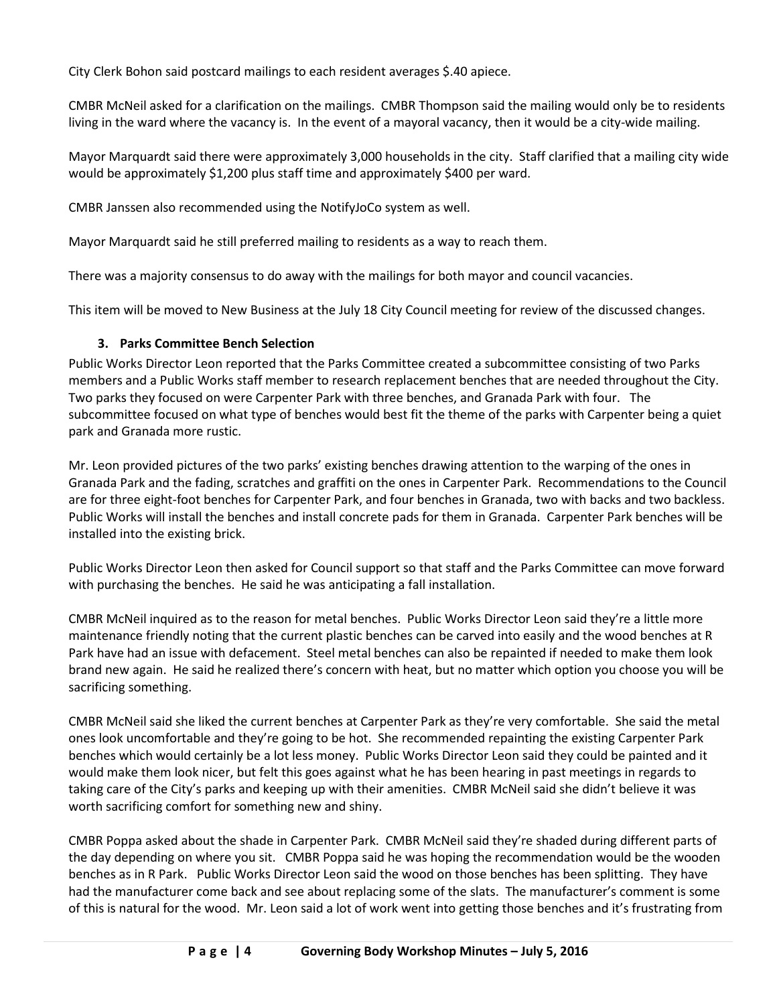City Clerk Bohon said postcard mailings to each resident averages \$.40 apiece.

CMBR McNeil asked for a clarification on the mailings. CMBR Thompson said the mailing would only be to residents living in the ward where the vacancy is. In the event of a mayoral vacancy, then it would be a city-wide mailing.

Mayor Marquardt said there were approximately 3,000 households in the city. Staff clarified that a mailing city wide would be approximately \$1,200 plus staff time and approximately \$400 per ward.

CMBR Janssen also recommended using the NotifyJoCo system as well.

Mayor Marquardt said he still preferred mailing to residents as a way to reach them.

There was a majority consensus to do away with the mailings for both mayor and council vacancies.

This item will be moved to New Business at the July 18 City Council meeting for review of the discussed changes.

# **3. Parks Committee Bench Selection**

Public Works Director Leon reported that the Parks Committee created a subcommittee consisting of two Parks members and a Public Works staff member to research replacement benches that are needed throughout the City. Two parks they focused on were Carpenter Park with three benches, and Granada Park with four. The subcommittee focused on what type of benches would best fit the theme of the parks with Carpenter being a quiet park and Granada more rustic.

Mr. Leon provided pictures of the two parks' existing benches drawing attention to the warping of the ones in Granada Park and the fading, scratches and graffiti on the ones in Carpenter Park. Recommendations to the Council are for three eight-foot benches for Carpenter Park, and four benches in Granada, two with backs and two backless. Public Works will install the benches and install concrete pads for them in Granada. Carpenter Park benches will be installed into the existing brick.

Public Works Director Leon then asked for Council support so that staff and the Parks Committee can move forward with purchasing the benches. He said he was anticipating a fall installation.

CMBR McNeil inquired as to the reason for metal benches. Public Works Director Leon said they're a little more maintenance friendly noting that the current plastic benches can be carved into easily and the wood benches at R Park have had an issue with defacement. Steel metal benches can also be repainted if needed to make them look brand new again. He said he realized there's concern with heat, but no matter which option you choose you will be sacrificing something.

CMBR McNeil said she liked the current benches at Carpenter Park as they're very comfortable. She said the metal ones look uncomfortable and they're going to be hot. She recommended repainting the existing Carpenter Park benches which would certainly be a lot less money. Public Works Director Leon said they could be painted and it would make them look nicer, but felt this goes against what he has been hearing in past meetings in regards to taking care of the City's parks and keeping up with their amenities. CMBR McNeil said she didn't believe it was worth sacrificing comfort for something new and shiny.

CMBR Poppa asked about the shade in Carpenter Park. CMBR McNeil said they're shaded during different parts of the day depending on where you sit. CMBR Poppa said he was hoping the recommendation would be the wooden benches as in R Park. Public Works Director Leon said the wood on those benches has been splitting. They have had the manufacturer come back and see about replacing some of the slats. The manufacturer's comment is some of this is natural for the wood. Mr. Leon said a lot of work went into getting those benches and it's frustrating from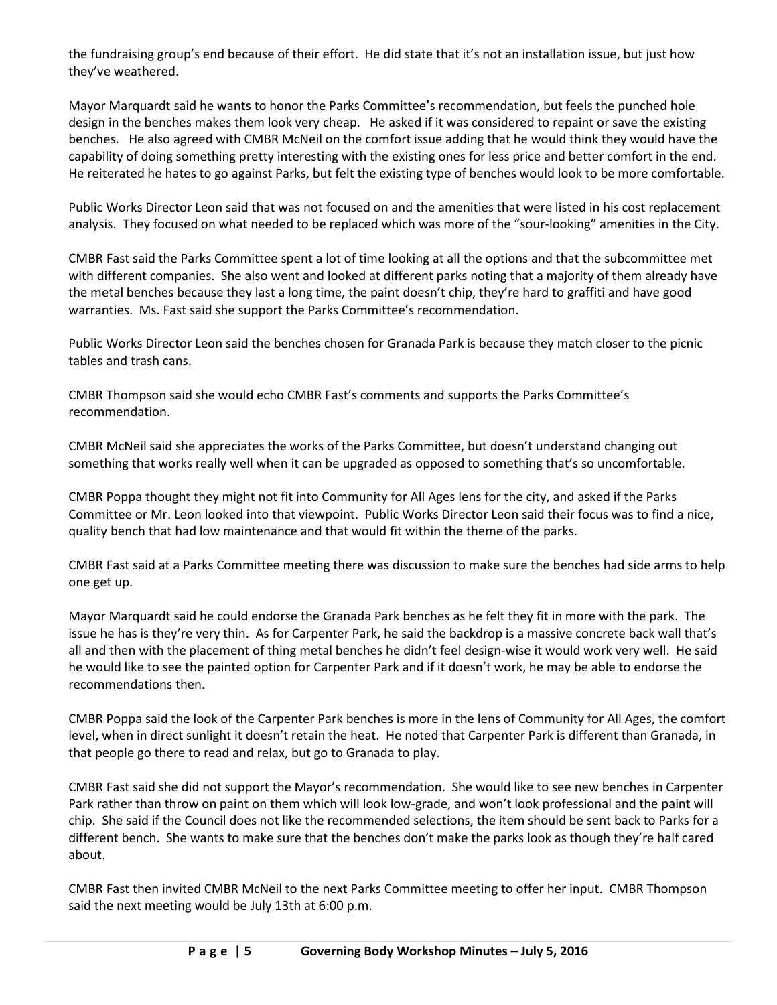the fundraising group's end because of their effort. He did state that it's not an installation issue, but just how they've weathered.

Mayor Marquardt said he wants to honor the Parks Committee's recommendation, but feels the punched hole design in the benches makes them look very cheap. He asked if it was considered to repaint or save the existing benches. He also agreed with CMBR McNeil on the comfort issue adding that he would think they would have the capability of doing something pretty interesting with the existing ones for less price and better comfort in the end. He reiterated he hates to go against Parks, but felt the existing type of benches would look to be more comfortable.

Public Works Director Leon said that was not focused on and the amenities that were listed in his cost replacement analysis. They focused on what needed to be replaced which was more of the "sour-looking" amenities in the City.

CMBR Fast said the Parks Committee spent a lot of time looking at all the options and that the subcommittee met with different companies. She also went and looked at different parks noting that a majority of them already have the metal benches because they last a long time, the paint doesn't chip, they're hard to graffiti and have good warranties. Ms. Fast said she support the Parks Committee's recommendation.

Public Works Director Leon said the benches chosen for Granada Park is because they match closer to the picnic tables and trash cans.

CMBR Thompson said she would echo CMBR Fast's comments and supports the Parks Committee's recommendation.

CMBR McNeil said she appreciates the works of the Parks Committee, but doesn't understand changing out something that works really well when it can be upgraded as opposed to something that's so uncomfortable.

CMBR Poppa thought they might not fit into Community for All Ages lens for the city, and asked if the Parks Committee or Mr. Leon looked into that viewpoint. Public Works Director Leon said their focus was to find a nice, quality bench that had low maintenance and that would fit within the theme of the parks.

CMBR Fast said at a Parks Committee meeting there was discussion to make sure the benches had side arms to help one get up.

Mayor Marquardt said he could endorse the Granada Park benches as he felt they fit in more with the park. The issue he has is they're very thin. As for Carpenter Park, he said the backdrop is a massive concrete back wall that's all and then with the placement of thing metal benches he didn't feel design-wise it would work very well. He said he would like to see the painted option for Carpenter Park and if it doesn't work, he may be able to endorse the recommendations then.

CMBR Poppa said the look of the Carpenter Park benches is more in the lens of Community for All Ages, the comfort level, when in direct sunlight it doesn't retain the heat. He noted that Carpenter Park is different than Granada, in that people go there to read and relax, but go to Granada to play.

CMBR Fast said she did not support the Mayor's recommendation. She would like to see new benches in Carpenter Park rather than throw on paint on them which will look low-grade, and won't look professional and the paint will chip. She said if the Council does not like the recommended selections, the item should be sent back to Parks for a different bench. She wants to make sure that the benches don't make the parks look as though they're half cared about.

CMBR Fast then invited CMBR McNeil to the next Parks Committee meeting to offer her input. CMBR Thompson said the next meeting would be July 13th at 6:00 p.m.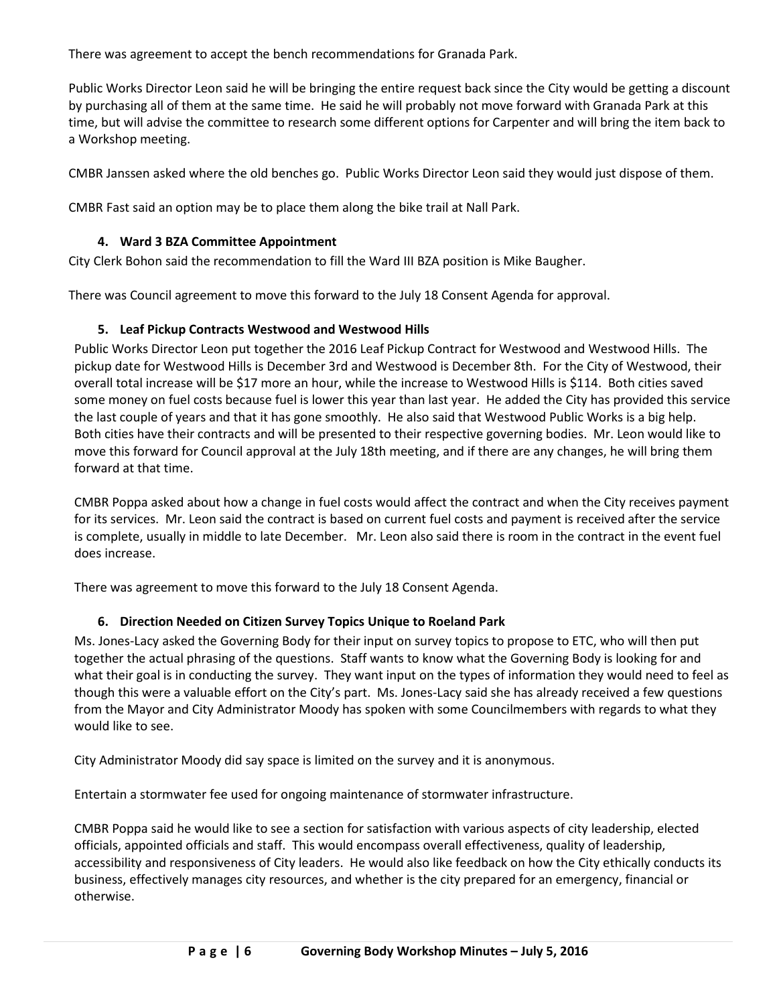There was agreement to accept the bench recommendations for Granada Park.

Public Works Director Leon said he will be bringing the entire request back since the City would be getting a discount by purchasing all of them at the same time. He said he will probably not move forward with Granada Park at this time, but will advise the committee to research some different options for Carpenter and will bring the item back to a Workshop meeting.

CMBR Janssen asked where the old benches go. Public Works Director Leon said they would just dispose of them.

CMBR Fast said an option may be to place them along the bike trail at Nall Park.

#### **4. Ward 3 BZA Committee Appointment**

City Clerk Bohon said the recommendation to fill the Ward III BZA position is Mike Baugher.

There was Council agreement to move this forward to the July 18 Consent Agenda for approval.

### **5. Leaf Pickup Contracts Westwood and Westwood Hills**

Public Works Director Leon put together the 2016 Leaf Pickup Contract for Westwood and Westwood Hills. The pickup date for Westwood Hills is December 3rd and Westwood is December 8th. For the City of Westwood, their overall total increase will be \$17 more an hour, while the increase to Westwood Hills is \$114. Both cities saved some money on fuel costs because fuel is lower this year than last year. He added the City has provided this service the last couple of years and that it has gone smoothly. He also said that Westwood Public Works is a big help. Both cities have their contracts and will be presented to their respective governing bodies. Mr. Leon would like to move this forward for Council approval at the July 18th meeting, and if there are any changes, he will bring them forward at that time.

CMBR Poppa asked about how a change in fuel costs would affect the contract and when the City receives payment for its services. Mr. Leon said the contract is based on current fuel costs and payment is received after the service is complete, usually in middle to late December. Mr. Leon also said there is room in the contract in the event fuel does increase.

There was agreement to move this forward to the July 18 Consent Agenda.

## **6. Direction Needed on Citizen Survey Topics Unique to Roeland Park**

Ms. Jones-Lacy asked the Governing Body for their input on survey topics to propose to ETC, who will then put together the actual phrasing of the questions. Staff wants to know what the Governing Body is looking for and what their goal is in conducting the survey. They want input on the types of information they would need to feel as though this were a valuable effort on the City's part. Ms. Jones-Lacy said she has already received a few questions from the Mayor and City Administrator Moody has spoken with some Councilmembers with regards to what they would like to see.

City Administrator Moody did say space is limited on the survey and it is anonymous.

Entertain a stormwater fee used for ongoing maintenance of stormwater infrastructure.

CMBR Poppa said he would like to see a section for satisfaction with various aspects of city leadership, elected officials, appointed officials and staff. This would encompass overall effectiveness, quality of leadership, accessibility and responsiveness of City leaders. He would also like feedback on how the City ethically conducts its business, effectively manages city resources, and whether is the city prepared for an emergency, financial or otherwise.